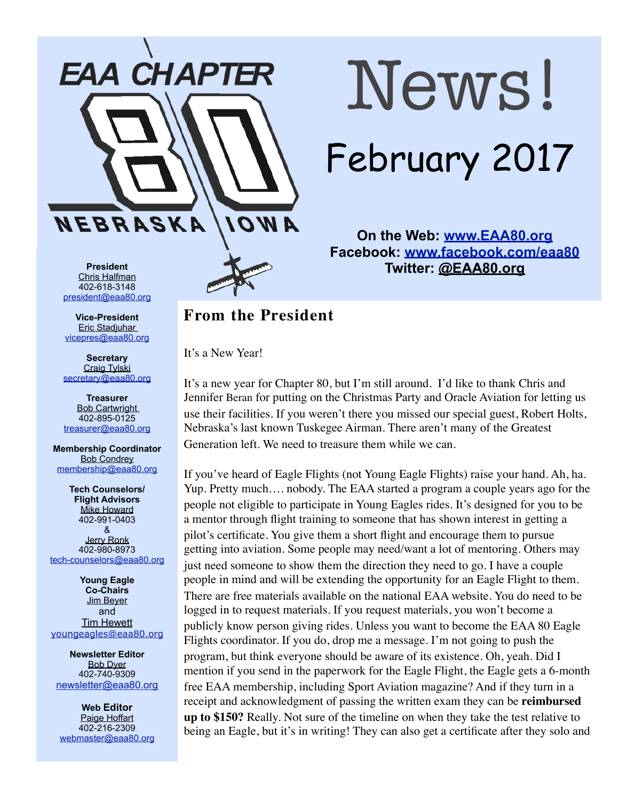

# News! February 2017

**On the Web: [www.EAA80.org](http://www.EAA80.org) Facebook: [www.facebook.com/eaa80](http://www.facebook.com/eaa80) Twitter: @EAA80.org**

**President**  Chris Halfman 402-618-3148 [president@eaa80.org](mailto:president@eaa80.org)

**Vice-President**  Eric Stadjuhar [vicepres@eaa80.org](mailto:vicepres@eaa80.org)

**Secretary**  Craig Tylski [secretary@eaa80.org](mailto:secretary@eaa80.org)

**Treasurer**  Bob Cartwright 402-895-0125 [treasurer@eaa80.org](mailto:treasurer@eaa80.org)

**Membership Coordinator**  Bob Condrey [membership@eaa80.org](mailto:membership@eaa80.org)

**Tech Counselors/ Flight Advisors**  Mike Howard 402-991-0403 & Jerry Ronk 402-980-8973 [tech-counselors@eaa80.org](mailto:tech-counselors@eaa80.org)

**Young Eagle Co-Chairs**  Jim Beyer and Tim Hewett [youngeagles@eaa80.org](mailto:youngeagles@eaa80.org)

**Newsletter Editor**  Bob Dyer 402-740-9309 [newsletter@eaa80.org](mailto:newsletter@eaa80.org)

**Web Editor**  Paige Hoffart 402-216-2309 [webmaster@eaa80.org](mailto:webmaster@eaa80.org)

### **From the President**

It's a New Year!

It's a new year for Chapter 80, but I'm still around. I'd like to thank Chris and Jennifer Beran for putting on the Christmas Party and Oracle Aviation for letting us use their facilities. If you weren't there you missed our special guest, Robert Holts, Nebraska's last known Tuskegee Airman. There aren't many of the Greatest Generation left. We need to treasure them while we can.

If you've heard of Eagle Flights (not Young Eagle Flights) raise your hand. Ah, ha. Yup. Pretty much…. nobody. The EAA started a program a couple years ago for the people not eligible to participate in Young Eagles rides. It's designed for you to be a mentor through flight training to someone that has shown interest in getting a pilot's certificate. You give them a short flight and encourage them to pursue getting into aviation. Some people may need/want a lot of mentoring. Others may just need someone to show them the direction they need to go. I have a couple people in mind and will be extending the opportunity for an Eagle Flight to them. There are free materials available on the national EAA website. You do need to be logged in to request materials. If you request materials, you won't become a publicly know person giving rides. Unless you want to become the EAA 80 Eagle Flights coordinator. If you do, drop me a message. I'm not going to push the program, but think everyone should be aware of its existence. Oh, yeah. Did I mention if you send in the paperwork for the Eagle Flight, the Eagle gets a 6-month free EAA membership, including Sport Aviation magazine? And if they turn in a receipt and acknowledgment of passing the written exam they can be **reimbursed up to \$150?** Really. Not sure of the timeline on when they take the test relative to being an Eagle, but it's in writing! They can also get a certificate after they solo and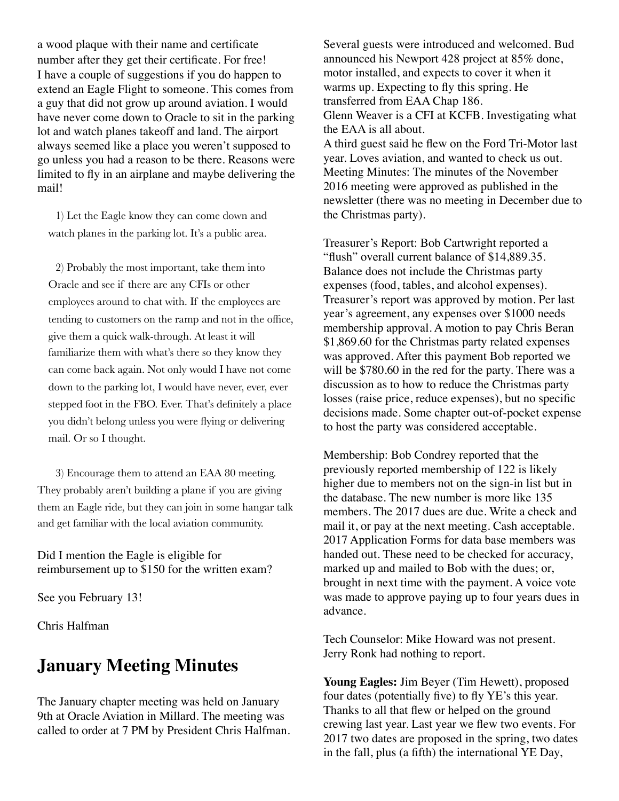a wood plaque with their name and certificate number after they get their certificate. For free! I have a couple of suggestions if you do happen to extend an Eagle Flight to someone. This comes from a guy that did not grow up around aviation. I would have never come down to Oracle to sit in the parking lot and watch planes takeoff and land. The airport always seemed like a place you weren't supposed to go unless you had a reason to be there. Reasons were limited to fly in an airplane and maybe delivering the mail!

1) Let the Eagle know they can come down and watch planes in the parking lot. It's a public area.

2) Probably the most important, take them into Oracle and see if there are any CFIs or other employees around to chat with. If the employees are tending to customers on the ramp and not in the office, give them a quick walk-through. At least it will familiarize them with what's there so they know they can come back again. Not only would I have not come down to the parking lot, I would have never, ever, ever stepped foot in the FBO. Ever. That's definitely a place you didn't belong unless you were flying or delivering mail. Or so I thought.

3) Encourage them to attend an EAA 80 meeting. They probably aren't building a plane if you are giving them an Eagle ride, but they can join in some hangar talk and get familiar with the local aviation community.

Did I mention the Eagle is eligible for reimbursement up to \$150 for the written exam?

See you February 13!

Chris Halfman

## **January Meeting Minutes**

The January chapter meeting was held on January 9th at Oracle Aviation in Millard. The meeting was called to order at 7 PM by President Chris Halfman. Several guests were introduced and welcomed. Bud announced his Newport 428 project at 85% done, motor installed, and expects to cover it when it warms up. Expecting to fly this spring. He transferred from EAA Chap 186. Glenn Weaver is a CFI at KCFB. Investigating what the EAA is all about. A third guest said he flew on the Ford Tri-Motor last year. Loves aviation, and wanted to check us out. Meeting Minutes: The minutes of the November 2016 meeting were approved as published in the newsletter (there was no meeting in December due to the Christmas party).

Treasurer's Report: Bob Cartwright reported a "flush" overall current balance of \$14,889.35. Balance does not include the Christmas party expenses (food, tables, and alcohol expenses). Treasurer's report was approved by motion. Per last year's agreement, any expenses over \$1000 needs membership approval. A motion to pay Chris Beran \$1,869.60 for the Christmas party related expenses was approved. After this payment Bob reported we will be \$780.60 in the red for the party. There was a discussion as to how to reduce the Christmas party losses (raise price, reduce expenses), but no specific decisions made. Some chapter out-of-pocket expense to host the party was considered acceptable.

Membership: Bob Condrey reported that the previously reported membership of 122 is likely higher due to members not on the sign-in list but in the database. The new number is more like 135 members. The 2017 dues are due. Write a check and mail it, or pay at the next meeting. Cash acceptable. 2017 Application Forms for data base members was handed out. These need to be checked for accuracy, marked up and mailed to Bob with the dues; or, brought in next time with the payment. A voice vote was made to approve paying up to four years dues in advance.

Tech Counselor: Mike Howard was not present. Jerry Ronk had nothing to report.

**Young Eagles:** Jim Beyer (Tim Hewett), proposed four dates (potentially five) to fly YE's this year. Thanks to all that flew or helped on the ground crewing last year. Last year we flew two events. For 2017 two dates are proposed in the spring, two dates in the fall, plus (a fifth) the international YE Day,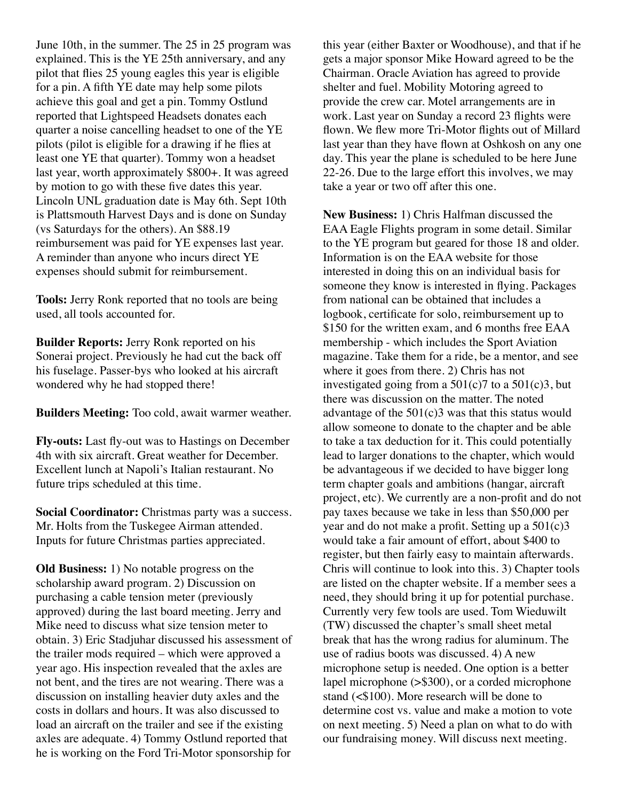June 10th, in the summer. The 25 in 25 program was explained. This is the YE 25th anniversary, and any pilot that flies 25 young eagles this year is eligible for a pin. A fifth YE date may help some pilots achieve this goal and get a pin. Tommy Ostlund reported that Lightspeed Headsets donates each quarter a noise cancelling headset to one of the YE pilots (pilot is eligible for a drawing if he flies at least one YE that quarter). Tommy won a headset last year, worth approximately \$800+. It was agreed by motion to go with these five dates this year. Lincoln UNL graduation date is May 6th. Sept 10th is Plattsmouth Harvest Days and is done on Sunday (vs Saturdays for the others). An \$88.19 reimbursement was paid for YE expenses last year. A reminder than anyone who incurs direct YE expenses should submit for reimbursement.

**Tools:** Jerry Ronk reported that no tools are being used, all tools accounted for.

**Builder Reports:** Jerry Ronk reported on his Sonerai project. Previously he had cut the back off his fuselage. Passer-bys who looked at his aircraft wondered why he had stopped there!

**Builders Meeting:** Too cold, await warmer weather.

**Fly-outs:** Last fly-out was to Hastings on December 4th with six aircraft. Great weather for December. Excellent lunch at Napoli's Italian restaurant. No future trips scheduled at this time.

**Social Coordinator:** Christmas party was a success. Mr. Holts from the Tuskegee Airman attended. Inputs for future Christmas parties appreciated.

**Old Business:** 1) No notable progress on the scholarship award program. 2) Discussion on purchasing a cable tension meter (previously approved) during the last board meeting. Jerry and Mike need to discuss what size tension meter to obtain. 3) Eric Stadjuhar discussed his assessment of the trailer mods required – which were approved a year ago. His inspection revealed that the axles are not bent, and the tires are not wearing. There was a discussion on installing heavier duty axles and the costs in dollars and hours. It was also discussed to load an aircraft on the trailer and see if the existing axles are adequate. 4) Tommy Ostlund reported that he is working on the Ford Tri-Motor sponsorship for

this year (either Baxter or Woodhouse), and that if he gets a major sponsor Mike Howard agreed to be the Chairman. Oracle Aviation has agreed to provide shelter and fuel. Mobility Motoring agreed to provide the crew car. Motel arrangements are in work. Last year on Sunday a record 23 flights were flown. We flew more Tri-Motor flights out of Millard last year than they have flown at Oshkosh on any one day. This year the plane is scheduled to be here June 22-26. Due to the large effort this involves, we may take a year or two off after this one.

**New Business:** 1) Chris Halfman discussed the EAA Eagle Flights program in some detail. Similar to the YE program but geared for those 18 and older. Information is on the EAA website for those interested in doing this on an individual basis for someone they know is interested in flying. Packages from national can be obtained that includes a logbook, certificate for solo, reimbursement up to \$150 for the written exam, and 6 months free EAA membership - which includes the Sport Aviation magazine. Take them for a ride, be a mentor, and see where it goes from there. 2) Chris has not investigated going from a  $501(c)7$  to a  $501(c)3$ , but there was discussion on the matter. The noted advantage of the 501(c)3 was that this status would allow someone to donate to the chapter and be able to take a tax deduction for it. This could potentially lead to larger donations to the chapter, which would be advantageous if we decided to have bigger long term chapter goals and ambitions (hangar, aircraft project, etc). We currently are a non-profit and do not pay taxes because we take in less than \$50,000 per year and do not make a profit. Setting up a 501(c)3 would take a fair amount of effort, about \$400 to register, but then fairly easy to maintain afterwards. Chris will continue to look into this. 3) Chapter tools are listed on the chapter website. If a member sees a need, they should bring it up for potential purchase. Currently very few tools are used. Tom Wieduwilt (TW) discussed the chapter's small sheet metal break that has the wrong radius for aluminum. The use of radius boots was discussed. 4) A new microphone setup is needed. One option is a better lapel microphone (>\$300), or a corded microphone stand (<\$100). More research will be done to determine cost vs. value and make a motion to vote on next meeting. 5) Need a plan on what to do with our fundraising money. Will discuss next meeting.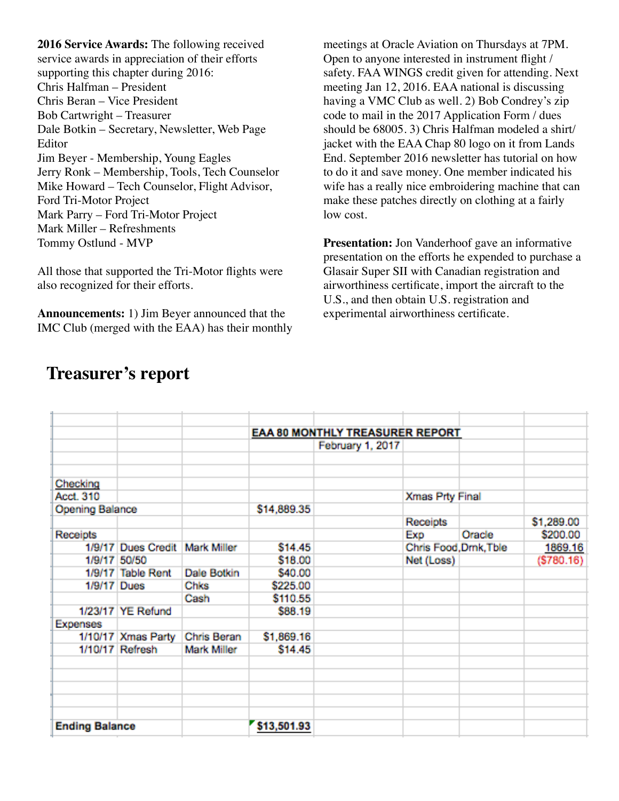**2016 Service Awards:** The following received service awards in appreciation of their efforts supporting this chapter during 2016: Chris Halfman – President Chris Beran – Vice President Bob Cartwright – Treasurer Dale Botkin – Secretary, Newsletter, Web Page Editor Jim Beyer - Membership, Young Eagles Jerry Ronk – Membership, Tools, Tech Counselor Mike Howard – Tech Counselor, Flight Advisor, Ford Tri-Motor Project Mark Parry – Ford Tri-Motor Project Mark Miller – Refreshments Tommy Ostlund - MVP

All those that supported the Tri-Motor flights were also recognized for their efforts.

**Announcements:** 1) Jim Beyer announced that the IMC Club (merged with the EAA) has their monthly

meetings at Oracle Aviation on Thursdays at 7PM. Open to anyone interested in instrument flight / safety. FAA WINGS credit given for attending. Next meeting Jan 12, 2016. EAA national is discussing having a VMC Club as well. 2) Bob Condrey's zip code to mail in the 2017 Application Form / dues should be 68005. 3) Chris Halfman modeled a shirt/ jacket with the EAA Chap 80 logo on it from Lands End. September 2016 newsletter has tutorial on how to do it and save money. One member indicated his wife has a really nice embroidering machine that can make these patches directly on clothing at a fairly low cost.

**Presentation:** Jon Vanderhoof gave an informative presentation on the efforts he expended to purchase a Glasair Super SII with Canadian registration and airworthiness certificate, import the aircraft to the U.S., and then obtain U.S. registration and experimental airworthiness certificate.

|                       |                    |                    | <b>EAA 80 MONTHLY TREASURER REPORT</b> |                  |                        |        |            |
|-----------------------|--------------------|--------------------|----------------------------------------|------------------|------------------------|--------|------------|
|                       |                    |                    |                                        | February 1, 2017 |                        |        |            |
|                       |                    |                    |                                        |                  |                        |        |            |
|                       |                    |                    |                                        |                  |                        |        |            |
| Checking              |                    |                    |                                        |                  |                        |        |            |
| Acct. 310             |                    |                    |                                        |                  | Xmas Prty Final        |        |            |
| Opening Balance       |                    |                    | \$14,889.35                            |                  |                        |        |            |
|                       |                    |                    |                                        |                  | Receipts               |        | \$1,289.00 |
| Receipts              |                    |                    |                                        |                  | Exp                    | Oracle | \$200.00   |
|                       | 1/9/17 Dues Credit | <b>Mark Miller</b> | \$14.45                                |                  | Chris Food, Drnk, Tble |        | 1869.16    |
|                       | 1/9/17 50/50       |                    | \$18.00                                |                  | Net (Loss)             |        | (5780.16)  |
|                       | 1/9/17 Table Rent  | Dale Botkin        | \$40.00                                |                  |                        |        |            |
| 1/9/17 Dues           |                    | Chks               | \$225.00                               |                  |                        |        |            |
|                       |                    | Cash               | \$110.55                               |                  |                        |        |            |
|                       | 1/23/17 YE Refund  |                    | \$88.19                                |                  |                        |        |            |
| <b>Expenses</b>       |                    |                    |                                        |                  |                        |        |            |
|                       | 1/10/17 Xmas Party | Chris Beran        | \$1,869.16                             |                  |                        |        |            |
|                       | 1/10/17 Refresh    | <b>Mark Miller</b> | \$14.45                                |                  |                        |        |            |
|                       |                    |                    |                                        |                  |                        |        |            |
|                       |                    |                    |                                        |                  |                        |        |            |
|                       |                    |                    |                                        |                  |                        |        |            |
|                       |                    |                    |                                        |                  |                        |        |            |
|                       |                    |                    |                                        |                  |                        |        |            |
| <b>Ending Balance</b> |                    |                    | \$13,501.93                            |                  |                        |        |            |

## **Treasurer's report**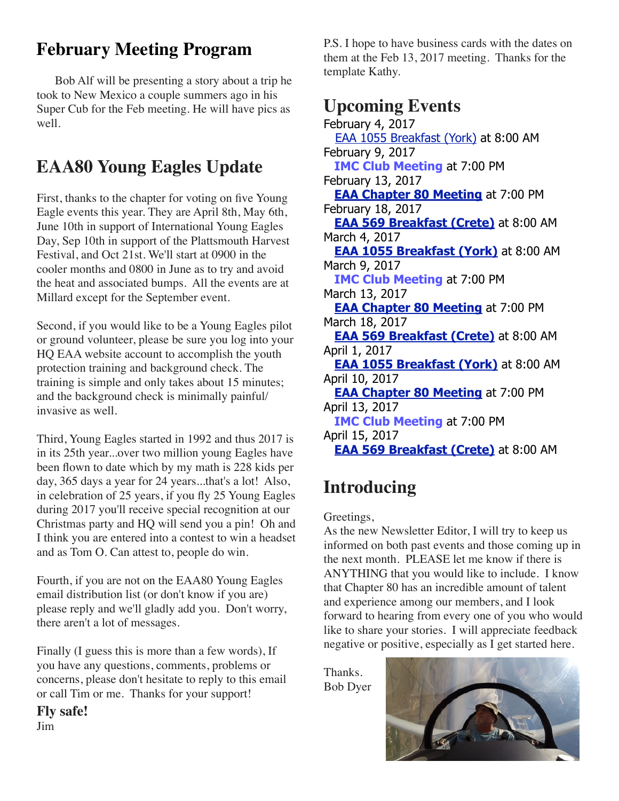## **February Meeting Program**

Bob Alf will be presenting a story about a trip he took to New Mexico a couple summers ago in his Super Cub for the Feb meeting. He will have pics as well.

## **EAA80 Young Eagles Update**

First, thanks to the chapter for voting on five Young Eagle events this year. They are April 8th, May 6th, June 10th in support of International Young Eagles Day, Sep 10th in support of the Plattsmouth Harvest Festival, and Oct 21st. We'll start at 0900 in the cooler months and 0800 in June as to try and avoid the heat and associated bumps. All the events are at Millard except for the September event.

Second, if you would like to be a Young Eagles pilot or ground volunteer, please be sure you log into your HQ EAA website account to accomplish the youth protection training and background check. The training is simple and only takes about 15 minutes; and the background check is minimally painful/ invasive as well.

Third, Young Eagles started in 1992 and thus 2017 is in its 25th year...over two million young Eagles have been flown to date which by my math is 228 kids per day, 365 days a year for 24 years...that's a lot! Also, in celebration of 25 years, if you fly 25 Young Eagles during 2017 you'll receive special recognition at our Christmas party and HQ will send you a pin! Oh and I think you are entered into a contest to win a headset and as Tom O. Can attest to, people do win.

Fourth, if you are not on the EAA80 Young Eagles email distribution list (or don't know if you are) please reply and we'll gladly add you. Don't worry, there aren't a lot of messages.

Finally (I guess this is more than a few words), If you have any questions, comments, problems or concerns, please don't hesitate to reply to this email or call Tim or me. Thanks for your support!

**Fly safe!** Jim

P.S. I hope to have business cards with the dates on them at the Feb 13, 2017 meeting. Thanks for the template Kathy.

## **Upcoming Events**

February 4, 2017 [EAA 1055 Breakfast \(York\)](http://1055.eaachapter.org/) at 8:00 AM February 9, 2017  **IMC Club Meeting** at 7:00 PM February 13, 2017  **[EAA Chapter 80 Meeting](http://www.eaa80.org/chapter-activities/meetings/)** at 7:00 PM February 18, 2017  **[EAA 569 Breakfast \(Crete\)](http://eaa569.org/blog/)** at 8:00 AM March 4, 2017  **[EAA 1055 Breakfast \(York\)](http://1055.eaachapter.org/)** at 8:00 AM March 9, 2017  **IMC Club Meeting** at 7:00 PM March 13, 2017  **[EAA Chapter 80 Meeting](http://www.eaa80.org/chapter-activities/meetings/)** at 7:00 PM March 18, 2017  **[EAA 569 Breakfast \(Crete\)](http://eaa569.org/blog/)** at 8:00 AM April 1, 2017  **[EAA 1055 Breakfast \(York\)](http://1055.eaachapter.org/)** at 8:00 AM April 10, 2017  **[EAA Chapter 80 Meeting](http://www.eaa80.org/chapter-activities/meetings/)** at 7:00 PM April 13, 2017  **IMC Club Meeting** at 7:00 PM April 15, 2017  **[EAA 569 Breakfast \(Crete\)](http://eaa569.org/blog/)** at 8:00 AM

## **Introducing**

#### Greetings,

As the new Newsletter Editor, I will try to keep us informed on both past events and those coming up in the next month. PLEASE let me know if there is ANYTHING that you would like to include. I know that Chapter 80 has an incredible amount of talent and experience among our members, and I look forward to hearing from every one of you who would like to share your stories. I will appreciate feedback negative or positive, especially as I get started here.

Thanks. Bob Dyer

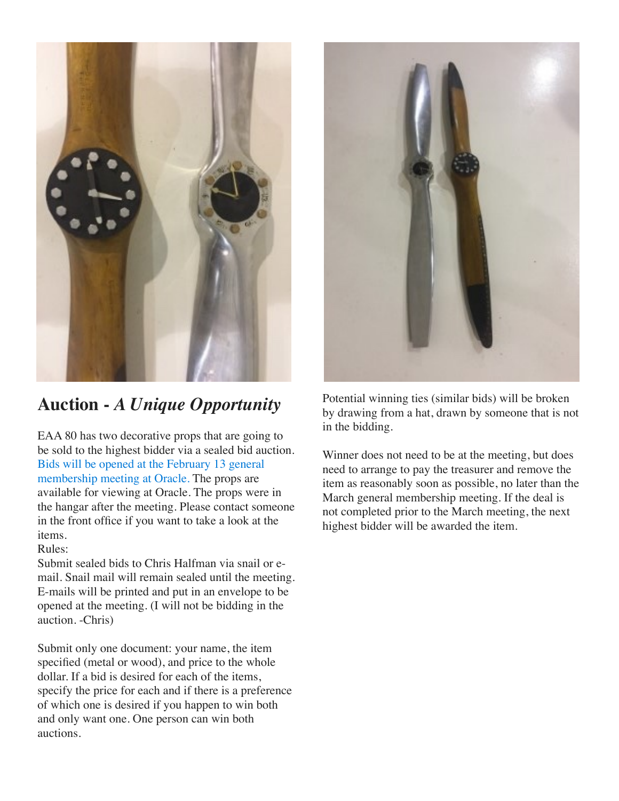

## **Auction -** *A Unique Opportunity*

EAA 80 has two decorative props that are going to be sold to the highest bidder via a sealed bid auction. Bids will be opened at the February 13 general membership meeting at Oracle. The props are available for viewing at Oracle. The props were in the hangar after the meeting. Please contact someone in the front office if you want to take a look at the items.

Rules:

Submit sealed bids to Chris Halfman via snail or email. Snail mail will remain sealed until the meeting. E-mails will be printed and put in an envelope to be opened at the meeting. (I will not be bidding in the auction. -Chris)

Submit only one document: your name, the item specified (metal or wood), and price to the whole dollar. If a bid is desired for each of the items, specify the price for each and if there is a preference of which one is desired if you happen to win both and only want one. One person can win both auctions.



Potential winning ties (similar bids) will be broken by drawing from a hat, drawn by someone that is not in the bidding.

Winner does not need to be at the meeting, but does need to arrange to pay the treasurer and remove the item as reasonably soon as possible, no later than the March general membership meeting. If the deal is not completed prior to the March meeting, the next highest bidder will be awarded the item.